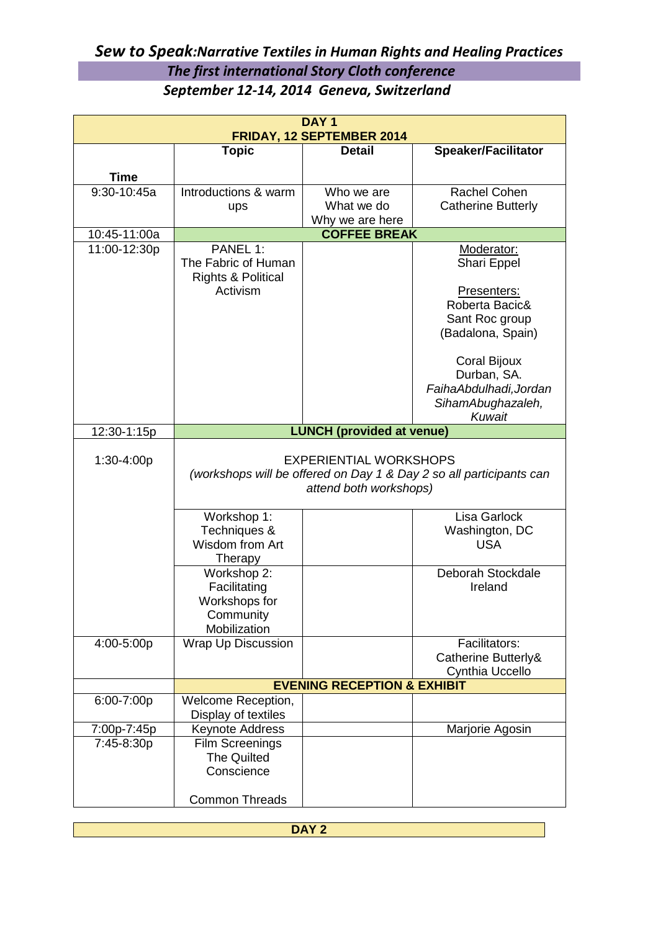## *Sew to Speak:Narrative Textiles in Human Rights and Healing Practices The first international Story Cloth conference September 12-14, 2014 Geneva, Switzerland*

| DAY <sub>1</sub><br>FRIDAY, 12 SEPTEMBER 2014 |                                                                                                                                |                          |                            |  |  |  |
|-----------------------------------------------|--------------------------------------------------------------------------------------------------------------------------------|--------------------------|----------------------------|--|--|--|
|                                               | <b>Topic</b>                                                                                                                   | <b>Detail</b>            | <b>Speaker/Facilitator</b> |  |  |  |
|                                               |                                                                                                                                |                          |                            |  |  |  |
| <b>Time</b>                                   |                                                                                                                                |                          |                            |  |  |  |
| $9:30-10:45a$                                 | Introductions & warm                                                                                                           | Who we are<br>What we do | Rachel Cohen               |  |  |  |
|                                               | ups                                                                                                                            | Why we are here          | <b>Catherine Butterly</b>  |  |  |  |
| 10:45-11:00a                                  |                                                                                                                                | <b>COFFEE BREAK</b>      |                            |  |  |  |
| 11:00-12:30p                                  | PANEL 1:                                                                                                                       |                          | Moderator:                 |  |  |  |
|                                               | The Fabric of Human                                                                                                            |                          | Shari Eppel                |  |  |  |
|                                               | <b>Rights &amp; Political</b>                                                                                                  |                          |                            |  |  |  |
|                                               | Activism                                                                                                                       |                          | Presenters:                |  |  |  |
|                                               |                                                                                                                                |                          | Roberta Bacic&             |  |  |  |
|                                               |                                                                                                                                |                          | Sant Roc group             |  |  |  |
|                                               |                                                                                                                                |                          | (Badalona, Spain)          |  |  |  |
|                                               |                                                                                                                                |                          | <b>Coral Bijoux</b>        |  |  |  |
|                                               |                                                                                                                                |                          | Durban, SA.                |  |  |  |
|                                               |                                                                                                                                |                          | FaihaAbdulhadi, Jordan     |  |  |  |
|                                               |                                                                                                                                |                          | SihamAbughazaleh,          |  |  |  |
|                                               |                                                                                                                                |                          | Kuwait                     |  |  |  |
| 12:30-1:15p                                   | <b>LUNCH (provided at venue)</b>                                                                                               |                          |                            |  |  |  |
| 1:30-4:00p                                    | <b>EXPERIENTIAL WORKSHOPS</b><br>(workshops will be offered on Day 1 & Day 2 so all participants can<br>attend both workshops) |                          |                            |  |  |  |
|                                               | Workshop 1:                                                                                                                    |                          | Lisa Garlock               |  |  |  |
|                                               | Techniques &                                                                                                                   |                          | Washington, DC             |  |  |  |
|                                               | Wisdom from Art                                                                                                                |                          | <b>USA</b>                 |  |  |  |
|                                               | Therapy                                                                                                                        |                          |                            |  |  |  |
|                                               | Workshop 2:                                                                                                                    |                          | Deborah Stockdale          |  |  |  |
|                                               | Facilitating                                                                                                                   |                          | Ireland                    |  |  |  |
|                                               | Workshops for                                                                                                                  |                          |                            |  |  |  |
|                                               | Community<br>Mobilization                                                                                                      |                          |                            |  |  |  |
| 4:00-5:00p                                    | <b>Wrap Up Discussion</b>                                                                                                      |                          | Facilitators:              |  |  |  |
|                                               |                                                                                                                                |                          | Catherine Butterly&        |  |  |  |
|                                               |                                                                                                                                |                          | Cynthia Uccello            |  |  |  |
|                                               | <b>EVENING RECEPTION &amp; EXHIBIT</b>                                                                                         |                          |                            |  |  |  |
| 6:00-7:00p                                    | Welcome Reception,                                                                                                             |                          |                            |  |  |  |
|                                               | Display of textiles                                                                                                            |                          |                            |  |  |  |
| 7:00p-7:45p<br>7:45-8:30p                     | <b>Keynote Address</b><br><b>Film Screenings</b>                                                                               |                          | Marjorie Agosin            |  |  |  |
|                                               | <b>The Quilted</b>                                                                                                             |                          |                            |  |  |  |
|                                               | Conscience                                                                                                                     |                          |                            |  |  |  |
|                                               |                                                                                                                                |                          |                            |  |  |  |
|                                               | <b>Common Threads</b>                                                                                                          |                          |                            |  |  |  |

| <b>DAVO</b><br>$\cdots$ |  |  |
|-------------------------|--|--|
|                         |  |  |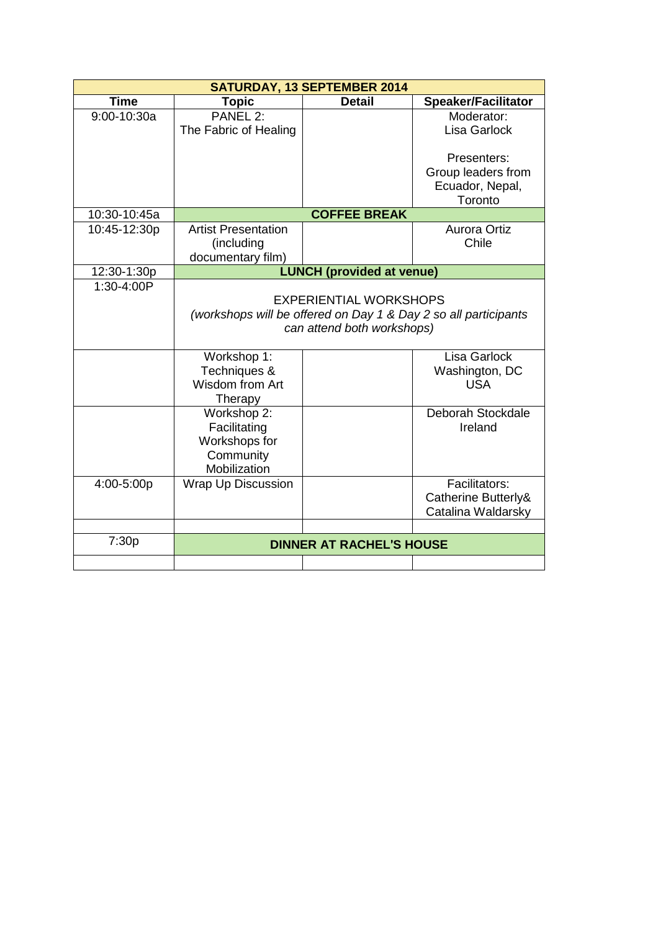| <b>SATURDAY, 13 SEPTEMBER 2014</b> |                                                                 |                                  |                            |  |  |
|------------------------------------|-----------------------------------------------------------------|----------------------------------|----------------------------|--|--|
| <b>Time</b>                        | <b>Topic</b>                                                    | <b>Detail</b>                    | <b>Speaker/Facilitator</b> |  |  |
| $9:00 - 10:30a$                    | PANEL 2:                                                        |                                  | Moderator:                 |  |  |
|                                    | The Fabric of Healing                                           |                                  | Lisa Garlock               |  |  |
|                                    |                                                                 |                                  | Presenters:                |  |  |
|                                    |                                                                 |                                  | Group leaders from         |  |  |
|                                    |                                                                 |                                  | Ecuador, Nepal,            |  |  |
|                                    |                                                                 |                                  | Toronto                    |  |  |
| 10:30-10:45a                       |                                                                 | <b>COFFEE BREAK</b>              |                            |  |  |
| 10:45-12:30p                       | <b>Artist Presentation</b>                                      |                                  | <b>Aurora Ortiz</b>        |  |  |
|                                    | (including                                                      |                                  | Chile                      |  |  |
|                                    | documentary film)                                               |                                  |                            |  |  |
| 12:30-1:30p                        |                                                                 | <b>LUNCH (provided at venue)</b> |                            |  |  |
| 1:30-4:00P                         |                                                                 |                                  |                            |  |  |
|                                    | <b>EXPERIENTIAL WORKSHOPS</b>                                   |                                  |                            |  |  |
|                                    | (workshops will be offered on Day 1 & Day 2 so all participants |                                  |                            |  |  |
|                                    | can attend both workshops)                                      |                                  |                            |  |  |
|                                    |                                                                 |                                  |                            |  |  |
|                                    | Workshop 1:                                                     |                                  | Lisa Garlock               |  |  |
|                                    | Techniques &                                                    |                                  | Washington, DC             |  |  |
|                                    | Wisdom from Art                                                 |                                  | <b>USA</b>                 |  |  |
|                                    | Therapy                                                         |                                  |                            |  |  |
|                                    | Workshop 2:                                                     |                                  | Deborah Stockdale          |  |  |
|                                    | Facilitating                                                    |                                  | Ireland                    |  |  |
|                                    | Workshops for                                                   |                                  |                            |  |  |
|                                    | Community                                                       |                                  |                            |  |  |
|                                    | Mobilization                                                    |                                  |                            |  |  |
| 4:00-5:00p                         | Wrap Up Discussion                                              |                                  | Facilitators:              |  |  |
|                                    |                                                                 |                                  | Catherine Butterly&        |  |  |
|                                    |                                                                 |                                  | Catalina Waldarsky         |  |  |
|                                    |                                                                 |                                  |                            |  |  |
| 7:30p                              | <b>DINNER AT RACHEL'S HOUSE</b>                                 |                                  |                            |  |  |
|                                    |                                                                 |                                  |                            |  |  |